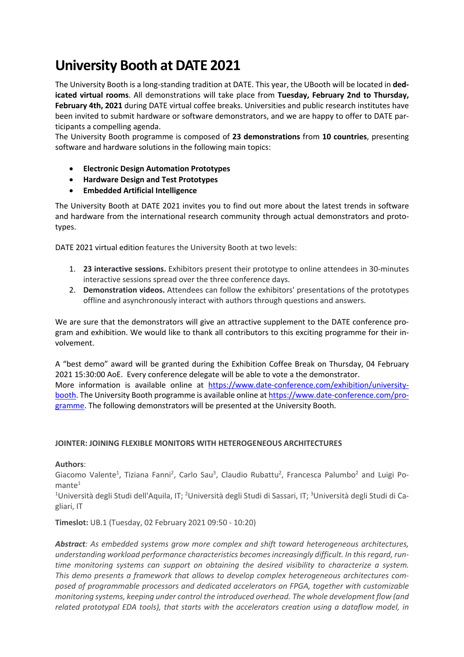# **University Booth at DATE 2021**

The University Booth is a long-standing tradition at DATE. This year, the UBooth will be located in **dedicated virtual rooms**. All demonstrations will take place from **Tuesday, February 2nd to Thursday, February 4th, 2021** during DATE virtual coffee breaks. Universities and public research institutes have been invited to submit hardware or software demonstrators, and we are happy to offer to DATE participants a compelling agenda.

The University Booth programme is composed of **23 demonstrations** from **10 countries**, presenting software and hardware solutions in the following main topics:

- **Electronic Design Automation Prototypes**
- **Hardware Design and Test Prototypes**
- **Embedded Artificial Intelligence**

The University Booth at DATE 2021 invites you to find out more about the latest trends in software and hardware from the international research community through actual demonstrators and prototypes.

DATE 2021 virtual edition features the University Booth at two levels:

- 1. **23 interactive sessions.** Exhibitors present their prototype to online attendees in 30-minutes interactive sessions spread over the three conference days.
- 2. **Demonstration videos.** Attendees can follow the exhibitors' presentations of the prototypes offline and asynchronously interact with authors through questions and answers.

We are sure that the demonstrators will give an attractive supplement to the DATE conference program and exhibition. We would like to thank all contributors to this exciting programme for their involvement.

A "best demo" award will be granted during the Exhibition Coffee Break on Thursday, 04 February 2021 15:30:00 AoE. Every conference delegate will be able to vote a the demonstrator. More information is available online at https://www.date-conference.com/exhibition/universitybooth. The University Booth programme is available online at https://www.date-conference.com/programme. The following demonstrators will be presented at the University Booth.

# **JOINTER: JOINING FLEXIBLE MONITORS WITH HETEROGENEOUS ARCHITECTURES**

**Authors**:

Giacomo Valente<sup>1</sup>, Tiziana Fanni<sup>2</sup>, Carlo Sau<sup>3</sup>, Claudio Rubattu<sup>2</sup>, Francesca Palumbo<sup>2</sup> and Luigi Po $m$ ante<sup>1</sup>

<sup>1</sup>Università degli Studi dell'Aquila, IT; <sup>2</sup>Università degli Studi di Sassari, IT; <sup>3</sup>Università degli Studi di Cagliari, IT

**Timeslot:** UB.1 (Tuesday, 02 February 2021 09:50 - 10:20)

*Abstract: As embedded systems grow more complex and shift toward heterogeneous architectures, understanding workload performance characteristics becomes increasingly difficult. In this regard, runtime monitoring systems can support on obtaining the desired visibility to characterize a system. This demo presents a framework that allows to develop complex heterogeneous architectures composed of programmable processors and dedicated accelerators on FPGA, together with customizable monitoring systems, keeping under control the introduced overhead. The whole development flow (and related prototypal EDA tools), that starts with the accelerators creation using a dataflow model, in*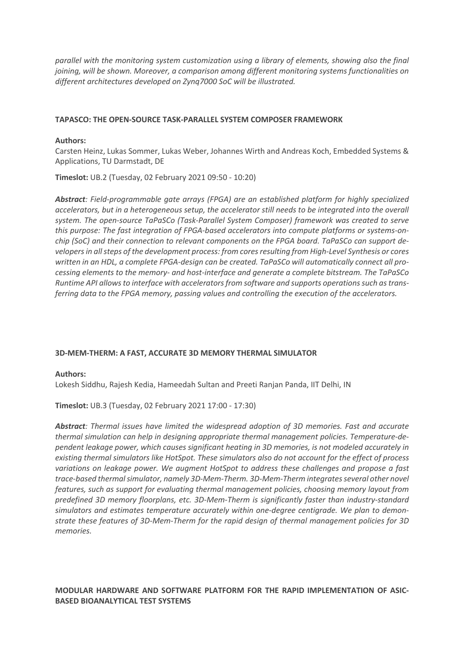*parallel with the monitoring system customization using a library of elements, showing also the final joining, will be shown. Moreover, a comparison among different monitoring systems functionalities on different architectures developed on Zynq7000 SoC will be illustrated.*

## **TAPASCO: THE OPEN-SOURCE TASK-PARALLEL SYSTEM COMPOSER FRAMEWORK**

#### **Authors:**

Carsten Heinz, Lukas Sommer, Lukas Weber, Johannes Wirth and Andreas Koch, Embedded Systems & Applications, TU Darmstadt, DE

**Timeslot:** UB.2 (Tuesday, 02 February 2021 09:50 - 10:20)

*Abstract: Field-programmable gate arrays (FPGA) are an established platform for highly specialized accelerators, but in a heterogeneous setup, the accelerator still needs to be integrated into the overall system. The open-source TaPaSCo (Task-Parallel System Composer) framework was created to serve this purpose: The fast integration of FPGA-based accelerators into compute platforms or systems-onchip (SoC) and their connection to relevant components on the FPGA board. TaPaSCo can support developers in all steps of the development process: from cores resulting from High-Level Synthesis or cores written in an HDL, a complete FPGA-design can be created. TaPaSCo will automatically connect all processing elements to the memory- and host-interface and generate a complete bitstream. The TaPaSCo Runtime API allows to interface with accelerators from software and supports operations such as transferring data to the FPGA memory, passing values and controlling the execution of the accelerators.*

## **3D-MEM-THERM: A FAST, ACCURATE 3D MEMORY THERMAL SIMULATOR**

## **Authors:**

Lokesh Siddhu, Rajesh Kedia, Hameedah Sultan and Preeti Ranjan Panda, IIT Delhi, IN

**Timeslot:** UB.3 (Tuesday, 02 February 2021 17:00 - 17:30)

*Abstract: Thermal issues have limited the widespread adoption of 3D memories. Fast and accurate thermal simulation can help in designing appropriate thermal management policies. Temperature-dependent leakage power, which causes significant heating in 3D memories, is not modeled accurately in existing thermal simulators like HotSpot. These simulators also do not account for the effect of process variations on leakage power. We augment HotSpot to address these challenges and propose a fast trace-based thermal simulator, namely 3D-Mem-Therm. 3D-Mem-Therm integrates several other novel features, such as support for evaluating thermal management policies, choosing memory layout from predefined 3D memory floorplans, etc. 3D-Mem-Therm is significantly faster than industry-standard simulators and estimates temperature accurately within one-degree centigrade. We plan to demonstrate these features of 3D-Mem-Therm for the rapid design of thermal management policies for 3D memories.*

# **MODULAR HARDWARE AND SOFTWARE PLATFORM FOR THE RAPID IMPLEMENTATION OF ASIC-BASED BIOANALYTICAL TEST SYSTEMS**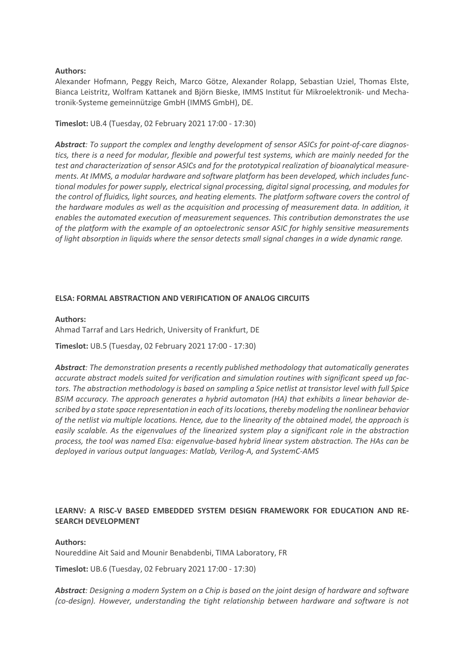## **Authors:**

Alexander Hofmann, Peggy Reich, Marco Götze, Alexander Rolapp, Sebastian Uziel, Thomas Elste, Bianca Leistritz, Wolfram Kattanek and Björn Bieske, IMMS Institut für Mikroelektronik- und Mechatronik-Systeme gemeinnützige GmbH (IMMS GmbH), DE.

**Timeslot:** UB.4 (Tuesday, 02 February 2021 17:00 - 17:30)

*Abstract: To support the complex and lengthy development of sensor ASICs for point-of-care diagnostics, there is a need for modular, flexible and powerful test systems, which are mainly needed for the test and characterization of sensor ASICs and for the prototypical realization of bioanalytical measurements. At IMMS, a modular hardware and software platform has been developed, which includes functional modules for power supply, electrical signal processing, digital signal processing, and modules for the control of fluidics, light sources, and heating elements. The platform software covers the control of the hardware modules as well as the acquisition and processing of measurement data. In addition, it enables the automated execution of measurement sequences. This contribution demonstrates the use of the platform with the example of an optoelectronic sensor ASIC for highly sensitive measurements of light absorption in liquids where the sensor detects small signal changes in a wide dynamic range.*

## **ELSA: FORMAL ABSTRACTION AND VERIFICATION OF ANALOG CIRCUITS**

## **Authors:**

Ahmad Tarraf and Lars Hedrich, University of Frankfurt, DE

**Timeslot:** UB.5 (Tuesday, 02 February 2021 17:00 - 17:30)

*Abstract: The demonstration presents a recently published methodology that automatically generates accurate abstract models suited for verification and simulation routines with significant speed up factors. The abstraction methodology is based on sampling a Spice netlist at transistor level with full Spice BSIM accuracy. The approach generates a hybrid automaton (HA) that exhibits a linear behavior described by a state space representation in each of its locations,thereby modeling the nonlinear behavior of the netlist via multiple locations. Hence, due to the linearity of the obtained model, the approach is easily scalable. As the eigenvalues of the linearized system play a significant role in the abstraction process, the tool was named Elsa: eigenvalue-based hybrid linear system abstraction. The HAs can be deployed in various output languages: Matlab, Verilog-A, and SystemC-AMS*

## **LEARNV: A RISC-V BASED EMBEDDED SYSTEM DESIGN FRAMEWORK FOR EDUCATION AND RE-SEARCH DEVELOPMENT**

## **Authors:**

Noureddine Ait Said and Mounir Benabdenbi, TIMA Laboratory, FR

**Timeslot:** UB.6 (Tuesday, 02 February 2021 17:00 - 17:30)

*Abstract: Designing a modern System on a Chip is based on the joint design of hardware and software (co-design). However, understanding the tight relationship between hardware and software is not*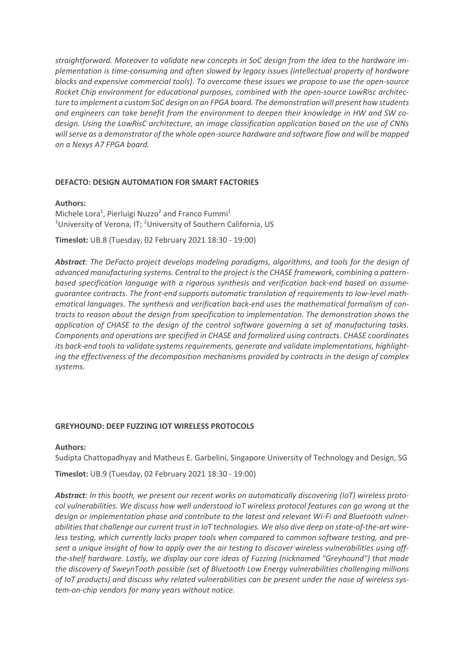*straightforward. Moreover to validate new concepts in SoC design from the idea to the hardware implementation is time-consuming and often slowed by legacy issues (intellectual property of hardware blocks and expensive commercial tools). To overcome these issues we propose to use the open-source Rocket Chip environment for educational purposes, combined with the open-source LowRisc architecture to implement a custom SoC design on an FPGA board. The demonstration will present how students and engineers can take benefit from the environment to deepen their knowledge in HW and SW codesign. Using the LowRisC architecture, an image classification application based on the use of CNNs will serve as a demonstrator of the whole open-source hardware and software flow and will be mapped on a Nexys A7 FPGA board.*

## **DEFACTO: DESIGN AUTOMATION FOR SMART FACTORIES**

## **Authors:**

Michele Lora<sup>1</sup>, Pierluigi Nuzzo<sup>2</sup> and Franco Fummi<sup>1</sup> <sup>1</sup>University of Verona, IT; <sup>2</sup>University of Southern California, US

**Timeslot:** UB.8 (Tuesday, 02 February 2021 18:30 - 19:00)

*Abstract: The DeFacto project develops modeling paradigms, algorithms, and tools for the design of advanced manufacturing systems. Central to the project is the CHASE framework, combining a patternbased specification language with a rigorous synthesis and verification back-end based on assumeguarantee contracts. The front-end supports automatic translation of requirements to low-level mathematical languages. The synthesis and verification back-end uses the mathematical formalism of contracts to reason about the design from specification to implementation. The demonstration shows the application of CHASE to the design of the control software governing a set of manufacturing tasks. Components and operations are specified in CHASE and formalized using contracts. CHASE coordinates its back-end tools to validate systems requirements, generate and validate implementations, highlighting the effectiveness of the decomposition mechanisms provided by contracts in the design of complex systems.*

#### **GREYHOUND: DEEP FUZZING IOT WIRELESS PROTOCOLS**

#### **Authors:**

Sudipta Chattopadhyay and Matheus E. Garbelini, Singapore University of Technology and Design, SG

**Timeslot:** UB.9 (Tuesday, 02 February 2021 18:30 - 19:00)

*Abstract: In this booth, we present our recent works on automatically discovering (IoT) wireless protocol vulnerabilities. We discuss how well understood IoT wireless protocol features can go wrong at the design or implementation phase and contribute to the latest and relevant Wi-Fi and Bluetooth vulnerabilities that challenge our current trust in IoT technologies. We also dive deep on state-of-the-art wireless testing, which currently lacks proper tools when compared to common software testing, and present a unique insight of how to apply over the air testing to discover wireless vulnerabilities using offthe-shelf hardware. Lastly, we display our core ideas of Fuzzing (nicknamed "Greyhound") that made the discovery of SweynTooth possible (set of Bluetooth Low Energy vulnerabilities challenging millions of IoT products) and discuss why related vulnerabilities can be present under the nose of wireless system-on-chip vendors for many years without notice.*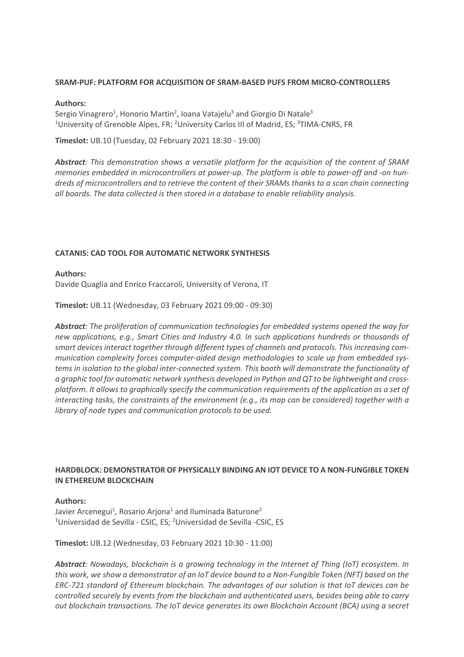## **SRAM-PUF: PLATFORM FOR ACQUISITION OF SRAM-BASED PUFS FROM MICRO-CONTROLLERS**

## **Authors:**

Sergio Vinagrero<sup>1</sup>, Honorio Martin<sup>2</sup>, Ioana Vatajelu<sup>3</sup> and Giorgio Di Natale<sup>3</sup> <sup>1</sup>University of Grenoble Alpes, FR; <sup>2</sup>University Carlos III of Madrid, ES; <sup>3</sup>TIMA-CNRS, FR

**Timeslot:** UB.10 (Tuesday, 02 February 2021 18:30 - 19:00)

*Abstract: This demonstration shows a versatile platform for the acquisition of the content of SRAM memories embedded in microcontrollers at power-up. The platform is able to power-off and -on hundreds of microcontrollers and to retrieve the content of their SRAMs thanks to a scan chain connecting all boards. The data collected is then stored in a database to enable reliability analysis.*

## **CATANIS: CAD TOOL FOR AUTOMATIC NETWORK SYNTHESIS**

#### **Authors:**

Davide Quaglia and Enrico Fraccaroli, University of Verona, IT

**Timeslot:** UB.11 (Wednesday, 03 February 2021 09:00 - 09:30)

*Abstract: The proliferation of communication technologies for embedded systems opened the way for new applications, e.g., Smart Cities and Industry 4.0. In such applications hundreds or thousands of smart devices interact together through different types of channels and protocols. This increasing communication complexity forces computer-aided design methodologies to scale up from embedded systems in isolation to the global inter-connected system. This booth will demonstrate the functionality of a graphic tool for automatic network synthesis developed in Python and QT to be lightweight and crossplatform. It allows to graphically specify the communication requirements of the application as a set of interacting tasks, the constraints of the environment (e.g., its map can be considered) together with a library of node types and communication protocols to be used.*

## **HARDBLOCK: DEMONSTRATOR OF PHYSICALLY BINDING AN IOT DEVICE TO A NON-FUNGIBLE TOKEN IN ETHEREUM BLOCKCHAIN**

## **Authors:**

Javier Arcenegui<sup>1</sup>, Rosario Arjona<sup>1</sup> and Iluminada Baturone<sup>2</sup> <sup>1</sup>Universidad de Sevilla - CSIC, ES; <sup>2</sup>Universidad de Sevilla -CSIC, ES

**Timeslot:** UB.12 (Wednesday, 03 February 2021 10:30 - 11:00)

*Abstract: Nowadays, blockchain is a growing technology in the Internet of Thing (IoT) ecosystem. In this work, we show a demonstrator of an IoT device bound to a Non-Fungible Token (NFT) based on the ERC-721 standard of Ethereum blockchain. The advantages of our solution is that IoT devices can be controlled securely by events from the blockchain and authenticated users, besides being able to carry out blockchain transactions. The IoT device generates its own Blockchain Account (BCA) using a secret*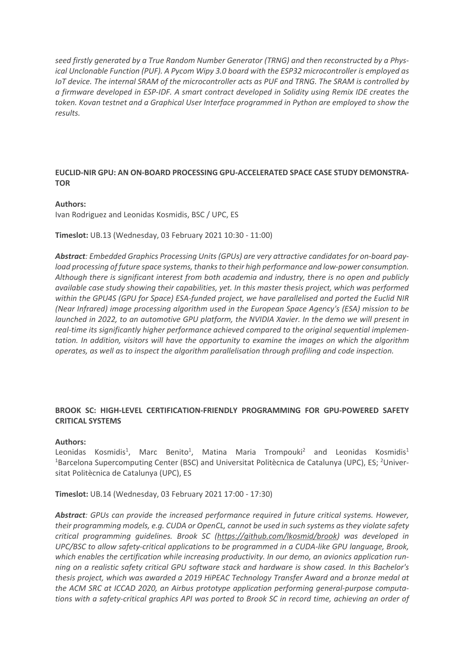*seed firstly generated by a True Random Number Generator (TRNG) and then reconstructed by a Physical Unclonable Function (PUF). A Pycom Wipy 3.0 board with the ESP32 microcontroller is employed as IoT device. The internal SRAM of the microcontroller acts as PUF and TRNG. The SRAM is controlled by a firmware developed in ESP-IDF. A smart contract developed in Solidity using Remix IDE creates the token. Kovan testnet and a Graphical User Interface programmed in Python are employed to show the results.*

# **EUCLID-NIR GPU: AN ON-BOARD PROCESSING GPU-ACCELERATED SPACE CASE STUDY DEMONSTRA-TOR**

## **Authors:**

Ivan Rodriguez and Leonidas Kosmidis, BSC / UPC, ES

## **Timeslot:** UB.13 (Wednesday, 03 February 2021 10:30 - 11:00)

*Abstract: Embedded Graphics Processing Units (GPUs) are very attractive candidates for on-board payload processing of future space systems, thanks to their high performance and low-power consumption. Although there is significant interest from both academia and industry, there is no open and publicly available case study showing their capabilities, yet. In this master thesis project, which was performed within the GPU4S (GPU for Space) ESA-funded project, we have parallelised and ported the Euclid NIR (Near Infrared) image processing algorithm used in the European Space Agency's (ESA) mission to be launched in 2022, to an automotive GPU platform, the NVIDIA Xavier. In the demo we will present in real-time its significantly higher performance achieved compared to the original sequential implementation. In addition, visitors will have the opportunity to examine the images on which the algorithm operates, as well as to inspect the algorithm parallelisation through profiling and code inspection.*

## **BROOK SC: HIGH-LEVEL CERTIFICATION-FRIENDLY PROGRAMMING FOR GPU-POWERED SAFETY CRITICAL SYSTEMS**

## **Authors:**

Leonidas Kosmidis<sup>1</sup>, Marc Benito<sup>1</sup>, Matina Maria Trompouki<sup>2</sup> and Leonidas Kosmidis<sup>1</sup> <sup>1</sup>Barcelona Supercomputing Center (BSC) and Universitat Politècnica de Catalunya (UPC), ES; <sup>2</sup>Universitat Politècnica de Catalunya (UPC), ES

**Timeslot:** UB.14 (Wednesday, 03 February 2021 17:00 - 17:30)

*Abstract: GPUs can provide the increased performance required in future critical systems. However, their programming models, e.g. CUDA or OpenCL, cannot be used in such systems as they violate safety critical programming guidelines. Brook SC (https://github.com/lkosmid/brook) was developed in UPC/BSC to allow safety-critical applications to be programmed in a CUDA-like GPU language, Brook, which enables the certification while increasing productivity. In our demo, an avionics application running on a realistic safety critical GPU software stack and hardware is show cased. In this Bachelor's thesis project, which was awarded a 2019 HiPEAC Technology Transfer Award and a bronze medal at the ACM SRC at ICCAD 2020, an Airbus prototype application performing general-purpose computations with a safety-critical graphics API was ported to Brook SC in record time, achieving an order of*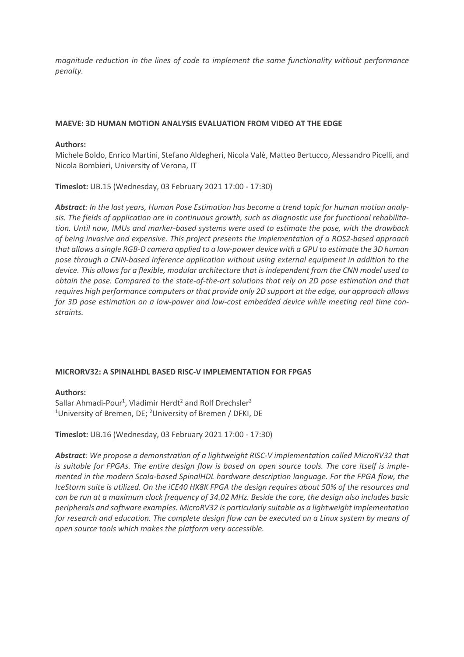*magnitude reduction in the lines of code to implement the same functionality without performance penalty.*

# **MAEVE: 3D HUMAN MOTION ANALYSIS EVALUATION FROM VIDEO AT THE EDGE**

## **Authors:**

Michele Boldo, Enrico Martini, Stefano Aldegheri, Nicola Valè, Matteo Bertucco, Alessandro Picelli, and Nicola Bombieri, University of Verona, IT

**Timeslot:** UB.15 (Wednesday, 03 February 2021 17:00 - 17:30)

*Abstract: In the last years, Human Pose Estimation has become a trend topic for human motion analysis. The fields of application are in continuous growth, such as diagnostic use for functional rehabilitation. Until now, IMUs and marker-based systems were used to estimate the pose, with the drawback of being invasive and expensive. This project presents the implementation of a ROS2-based approach that allows a single RGB-D camera applied to a low-power device with a GPU to estimate the 3D human pose through a CNN-based inference application without using external equipment in addition to the device. This allows for a flexible, modular architecture that is independent from the CNN model used to obtain the pose. Compared to the state-of-the-art solutions that rely on 2D pose estimation and that requires high performance computers or that provide only 2D support at the edge, our approach allows for 3D pose estimation on a low-power and low-cost embedded device while meeting real time constraints.*

## **MICRORV32: A SPINALHDL BASED RISC-V IMPLEMENTATION FOR FPGAS**

## **Authors:**

Sallar Ahmadi-Pour<sup>1</sup>, Vladimir Herdt<sup>2</sup> and Rolf Drechsler<sup>2</sup> <sup>1</sup>University of Bremen, DE; <sup>2</sup>University of Bremen / DFKI, DE

## **Timeslot:** UB.16 (Wednesday, 03 February 2021 17:00 - 17:30)

*Abstract: We propose a demonstration of a lightweight RISC-V implementation called MicroRV32 that is suitable for FPGAs. The entire design flow is based on open source tools. The core itself is implemented in the modern Scala-based SpinalHDL hardware description language. For the FPGA flow, the IceStorm suite is utilized. On the iCE40 HX8K FPGA the design requires about 50% of the resources and can be run at a maximum clock frequency of 34.02 MHz. Beside the core, the design also includes basic peripherals and software examples. MicroRV32 is particularly suitable as a lightweight implementation for research and education. The complete design flow can be executed on a Linux system by means of open source tools which makes the platform very accessible.*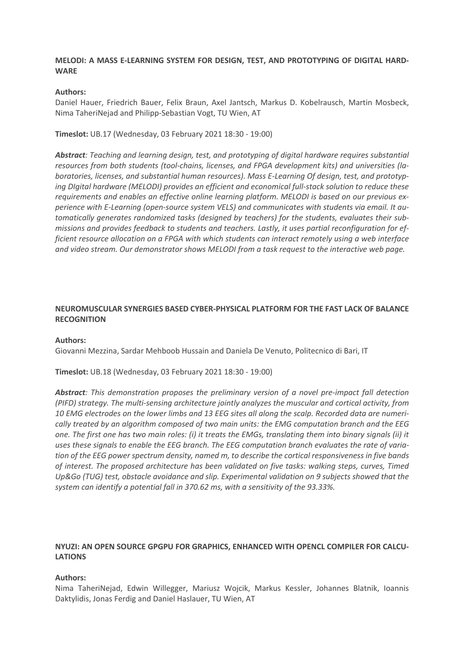## **MELODI: A MASS E-LEARNING SYSTEM FOR DESIGN, TEST, AND PROTOTYPING OF DIGITAL HARD-WARE**

## **Authors:**

Daniel Hauer, Friedrich Bauer, Felix Braun, Axel Jantsch, Markus D. Kobelrausch, Martin Mosbeck, Nima TaheriNejad and Philipp-Sebastian Vogt, TU Wien, AT

**Timeslot:** UB.17 (Wednesday, 03 February 2021 18:30 - 19:00)

*Abstract: Teaching and learning design, test, and prototyping of digital hardware requires substantial resources from both students (tool-chains, licenses, and FPGA development kits) and universities (laboratories, licenses, and substantial human resources). Mass E-Learning Of design, test, and prototyping DIgital hardware (MELODI) provides an efficient and economical full-stack solution to reduce these requirements and enables an effective online learning platform. MELODI is based on our previous experience with E-Learning (open-source system VELS) and communicates with students via email. It automatically generates randomized tasks (designed by teachers) for the students, evaluates their submissions and provides feedback to students and teachers. Lastly, it uses partial reconfiguration for efficient resource allocation on a FPGA with which students can interact remotely using a web interface and video stream. Our demonstrator shows MELODI from a task request to the interactive web page.*

# **NEUROMUSCULAR SYNERGIES BASED CYBER-PHYSICAL PLATFORM FOR THE FAST LACK OF BALANCE RECOGNITION**

#### **Authors:**

Giovanni Mezzina, Sardar Mehboob Hussain and Daniela De Venuto, Politecnico di Bari, IT

## **Timeslot:** UB.18 (Wednesday, 03 February 2021 18:30 - 19:00)

*Abstract: This demonstration proposes the preliminary version of a novel pre-impact fall detection (PIFD) strategy. The multi-sensing architecture jointly analyzes the muscular and cortical activity, from 10 EMG electrodes on the lower limbs and 13 EEG sites all along the scalp. Recorded data are numerically treated by an algorithm composed of two main units: the EMG computation branch and the EEG one. The first one has two main roles: (i) it treats the EMGs, translating them into binary signals (ii) it uses these signals to enable the EEG branch. The EEG computation branch evaluates the rate of variation of the EEG power spectrum density, named m, to describe the cortical responsiveness in five bands of interest. The proposed architecture has been validated on five tasks: walking steps, curves, Timed Up&Go (TUG) test, obstacle avoidance and slip. Experimental validation on 9 subjects showed that the system can identify a potential fall in 370.62 ms, with a sensitivity of the 93.33%.*

## **NYUZI: AN OPEN SOURCE GPGPU FOR GRAPHICS, ENHANCED WITH OPENCL COMPILER FOR CALCU-LATIONS**

#### **Authors:**

Nima TaheriNejad, Edwin Willegger, Mariusz Wojcik, Markus Kessler, Johannes Blatnik, Ioannis Daktylidis, Jonas Ferdig and Daniel Haslauer, TU Wien, AT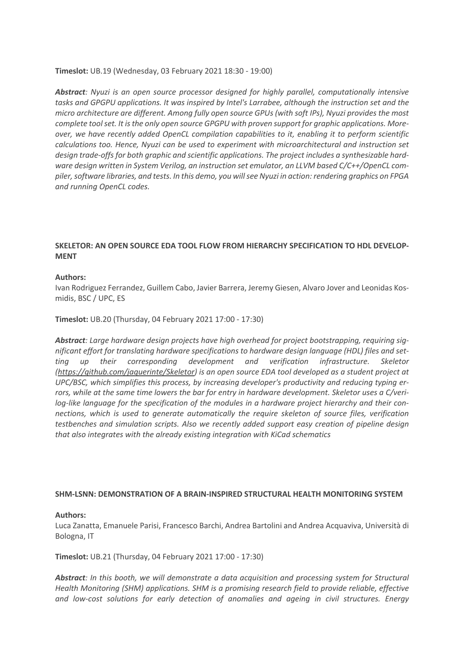## **Timeslot:** UB.19 (Wednesday, 03 February 2021 18:30 - 19:00)

*Abstract: Nyuzi is an open source processor designed for highly parallel, computationally intensive tasks and GPGPU applications. It was inspired by Intel's Larrabee, although the instruction set and the micro architecture are different. Among fully open source GPUs (with soft IPs), Nyuzi provides the most complete tool set. It is the only open source GPGPU with proven support for graphic applications. Moreover, we have recently added OpenCL compilation capabilities to it, enabling it to perform scientific calculations too. Hence, Nyuzi can be used to experiment with microarchitectural and instruction set design trade-offs for both graphic and scientific applications. The project includes a synthesizable hardware design written in System Verilog, an instruction set emulator, an LLVM based C/C++/OpenCL compiler, software libraries, and tests. In this demo, you will see Nyuzi in action: rendering graphics on FPGA and running OpenCL codes.*

# **SKELETOR: AN OPEN SOURCE EDA TOOL FLOW FROM HIERARCHY SPECIFICATION TO HDL DEVELOP-MENT**

## **Authors:**

Ivan Rodriguez Ferrandez, Guillem Cabo, Javier Barrera, Jeremy Giesen, Alvaro Jover and Leonidas Kosmidis, BSC / UPC, ES

## **Timeslot:** UB.20 (Thursday, 04 February 2021 17:00 - 17:30)

*Abstract: Large hardware design projects have high overhead for project bootstrapping, requiring significant effort for translating hardware specifications to hardware design language (HDL) files and setting up their corresponding development and verification infrastructure. Skeletor (https://github.com/jaquerinte/Skeletor) is an open source EDA tool developed as a student project at UPC/BSC, which simplifies this process, by increasing developer's productivity and reducing typing errors, while at the same time lowers the bar for entry in hardware development. Skeletor uses a C/verilog-like language for the specification of the modules in a hardware project hierarchy and their connections, which is used to generate automatically the require skeleton of source files, verification testbenches and simulation scripts. Also we recently added support easy creation of pipeline design that also integrates with the already existing integration with KiCad schematics*

## **SHM-LSNN: DEMONSTRATION OF A BRAIN-INSPIRED STRUCTURAL HEALTH MONITORING SYSTEM**

## **Authors:**

Luca Zanatta, Emanuele Parisi, Francesco Barchi, Andrea Bartolini and Andrea Acquaviva, Università di Bologna, IT

## **Timeslot:** UB.21 (Thursday, 04 February 2021 17:00 - 17:30)

*Abstract: In this booth, we will demonstrate a data acquisition and processing system for Structural Health Monitoring (SHM) applications. SHM is a promising research field to provide reliable, effective and low-cost solutions for early detection of anomalies and ageing in civil structures. Energy*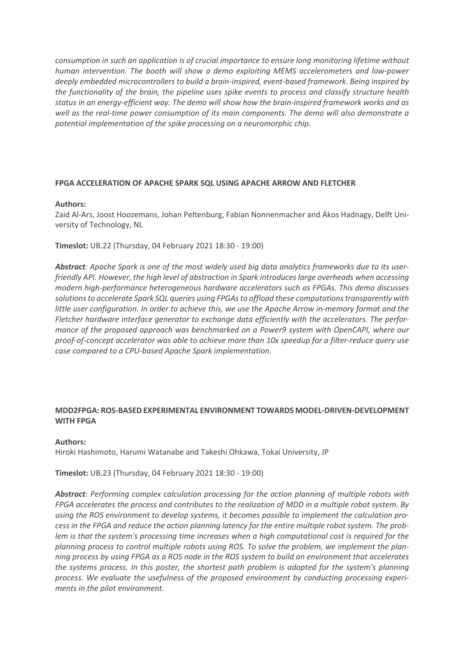*consumption in such an application is of crucial importance to ensure long monitoring lifetime without human intervention. The booth will show a demo exploiting MEMS accelerometers and low-power deeply embedded microcontrollers to build a brain-inspired, event-based framework. Being inspired by the functionality of the brain, the pipeline uses spike events to process and classify structure health status in an energy-efficient way. The demo will show how the brain-inspired framework works and as well as the real-time power consumption of its main components. The demo will also demonstrate a potential implementation of the spike processing on a neuromorphic chip.*

## **FPGA ACCELERATION OF APACHE SPARK SQL USING APACHE ARROW AND FLETCHER**

## **Authors:**

Zaid Al-Ars, Joost Hoozemans, Johan Peltenburg, Fabian Nonnenmacher and Ákos Hadnagy, Delft University of Technology, NL

**Timeslot:** UB.22 (Thursday, 04 February 2021 18:30 - 19:00)

*Abstract: Apache Spark is one of the most widely used big data analytics frameworks due to its userfriendly API. However, the high level of abstraction in Spark introduces large overheads when accessing modern high-performance heterogeneous hardware accelerators such as FPGAs. This demo discusses solutions to accelerate Spark SQL queries using FPGAs to offload these computations transparently with little user configuration. In order to achieve this, we use the Apache Arrow in-memory format and the Fletcher hardware interface generator to exchange data efficiently with the accelerators. The performance of the proposed approach was benchmarked on a Power9 system with OpenCAPI, where our proof-of-concept accelerator was able to achieve more than 10x speedup for a filter-reduce query use case compared to a CPU-based Apache Spark implementation.*

## **MDD2FPGA: ROS-BASED EXPERIMENTAL ENVIRONMENT TOWARDS MODEL-DRIVEN-DEVELOPMENT WITH FPGA**

#### **Authors:**

Hiroki Hashimoto, Harumi Watanabe and Takeshi Ohkawa, Tokai University, JP

## **Timeslot:** UB.23 (Thursday, 04 February 2021 18:30 - 19:00)

*Abstract: Performing complex calculation processing for the action planning of multiple robots with FPGA accelerates the process and contributes to the realization of MDD in a multiple robot system. By using the ROS environment to develop systems, it becomes possible to implement the calculation process in the FPGA and reduce the action planning latency for the entire multiple robot system. The problem is that the system's processing time increases when a high computational cost is required for the planning process to control multiple robots using ROS. To solve the problem, we implement the planning process by using FPGA as a ROS node in the ROS system to build an environment that accelerates the systems process. In this poster, the shortest path problem is adopted for the system's planning process. We evaluate the usefulness of the proposed environment by conducting processing experiments in the pilot environment.*